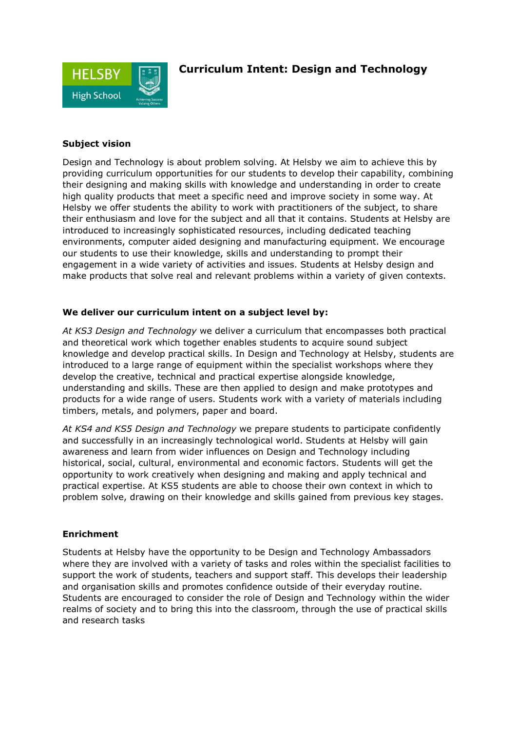

## **Curriculum Intent: Design and Technology**

### **Subject vision**

Design and Technology is about problem solving. At Helsby we aim to achieve this by providing curriculum opportunities for our students to develop their capability, combining their designing and making skills with knowledge and understanding in order to create high quality products that meet a specific need and improve society in some way. At Helsby we offer students the ability to work with practitioners of the subject, to share their enthusiasm and love for the subject and all that it contains. Students at Helsby are introduced to increasingly sophisticated resources, including dedicated teaching environments, computer aided designing and manufacturing equipment. We encourage our students to use their knowledge, skills and understanding to prompt their engagement in a wide variety of activities and issues. Students at Helsby design and make products that solve real and relevant problems within a variety of given contexts.

#### **We deliver our curriculum intent on a subject level by:**

*At KS3 Design and Technology* we deliver a curriculum that encompasses both practical and theoretical work which together enables students to acquire sound subject knowledge and develop practical skills. In Design and Technology at Helsby, students are introduced to a large range of equipment within the specialist workshops where they develop the creative, technical and practical expertise alongside knowledge, understanding and skills. These are then applied to design and make prototypes and products for a wide range of users. Students work with a variety of materials including timbers, metals, and polymers, paper and board.

*At KS4 and KS5 Design and Technology* we prepare students to participate confidently and successfully in an increasingly technological world. Students at Helsby will gain awareness and learn from wider influences on Design and Technology including historical, social, cultural, environmental and economic factors. Students will get the opportunity to work creatively when designing and making and apply technical and practical expertise. At KS5 students are able to choose their own context in which to problem solve, drawing on their knowledge and skills gained from previous key stages.

#### **Enrichment**

Students at Helsby have the opportunity to be Design and Technology Ambassadors where they are involved with a variety of tasks and roles within the specialist facilities to support the work of students, teachers and support staff. This develops their leadership and organisation skills and promotes confidence outside of their everyday routine. Students are encouraged to consider the role of Design and Technology within the wider realms of society and to bring this into the classroom, through the use of practical skills and research tasks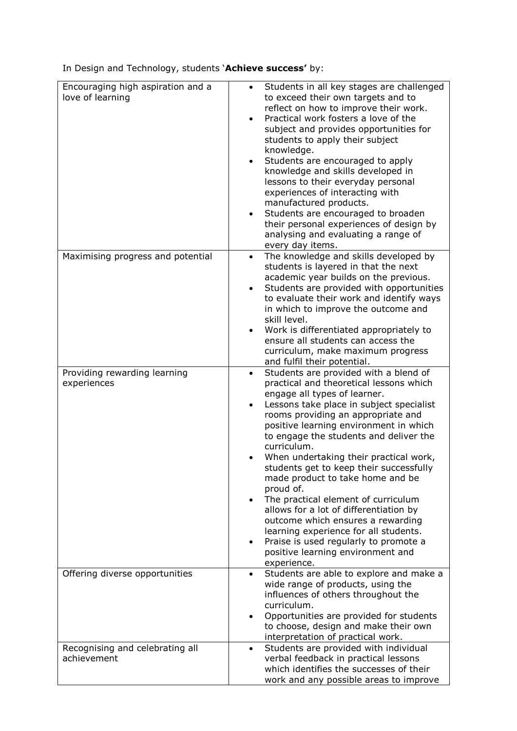In Design and Technology, students '**Achieve success'** by:

| Encouraging high aspiration and a<br>love of learning | Students in all key stages are challenged<br>to exceed their own targets and to<br>reflect on how to improve their work.<br>Practical work fosters a love of the<br>subject and provides opportunities for<br>students to apply their subject<br>knowledge.<br>Students are encouraged to apply<br>knowledge and skills developed in<br>lessons to their everyday personal<br>experiences of interacting with<br>manufactured products.<br>Students are encouraged to broaden<br>their personal experiences of design by<br>analysing and evaluating a range of<br>every day items.                                                                                                                                  |
|-------------------------------------------------------|----------------------------------------------------------------------------------------------------------------------------------------------------------------------------------------------------------------------------------------------------------------------------------------------------------------------------------------------------------------------------------------------------------------------------------------------------------------------------------------------------------------------------------------------------------------------------------------------------------------------------------------------------------------------------------------------------------------------|
| Maximising progress and potential                     | The knowledge and skills developed by<br>students is layered in that the next<br>academic year builds on the previous.<br>Students are provided with opportunities<br>$\bullet$<br>to evaluate their work and identify ways<br>in which to improve the outcome and<br>skill level.<br>Work is differentiated appropriately to<br>ensure all students can access the<br>curriculum, make maximum progress<br>and fulfil their potential.                                                                                                                                                                                                                                                                              |
| Providing rewarding learning<br>experiences           | Students are provided with a blend of<br>$\bullet$<br>practical and theoretical lessons which<br>engage all types of learner.<br>Lessons take place in subject specialist<br>rooms providing an appropriate and<br>positive learning environment in which<br>to engage the students and deliver the<br>curriculum.<br>When undertaking their practical work,<br>students get to keep their successfully<br>made product to take home and be<br>proud of.<br>The practical element of curriculum<br>allows for a lot of differentiation by<br>outcome which ensures a rewarding<br>learning experience for all students.<br>Praise is used regularly to promote a<br>positive learning environment and<br>experience. |
| Offering diverse opportunities                        | Students are able to explore and make a<br>wide range of products, using the<br>influences of others throughout the<br>curriculum.<br>Opportunities are provided for students<br>to choose, design and make their own<br>interpretation of practical work.                                                                                                                                                                                                                                                                                                                                                                                                                                                           |
| Recognising and celebrating all<br>achievement        | Students are provided with individual<br>$\bullet$<br>verbal feedback in practical lessons<br>which identifies the successes of their<br>work and any possible areas to improve                                                                                                                                                                                                                                                                                                                                                                                                                                                                                                                                      |